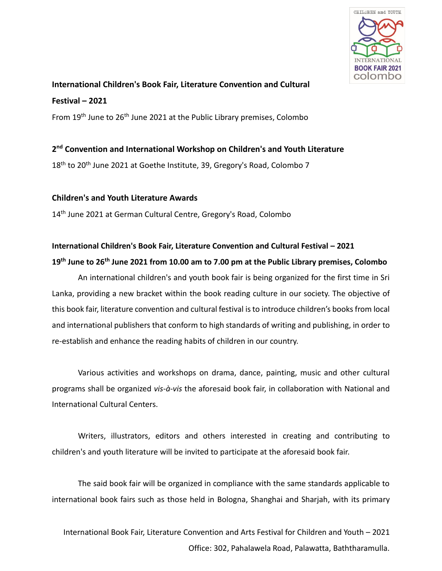

# **International Children's Book Fair, Literature Convention and Cultural Festival – 2021**

From 19<sup>th</sup> June to 26<sup>th</sup> June 2021 at the Public Library premises, Colombo

# **2 nd Convention and International Workshop on Children's and Youth Literature**

18<sup>th</sup> to 20<sup>th</sup> June 2021 at Goethe Institute, 39, Gregory's Road, Colombo 7

# **Children's and Youth Literature Awards**

14<sup>th</sup> June 2021 at German Cultural Centre, Gregory's Road, Colombo

# **International Children's Book Fair, Literature Convention and Cultural Festival – 2021 19th June to 26th June 2021 from 10.00 am to 7.00 pm at the Public Library premises, Colombo**

An international children's and youth book fair is being organized for the first time in Sri Lanka, providing a new bracket within the book reading culture in our society. The objective of this book fair, literature convention and cultural festival is to introduce children's books from local and international publishers that conform to high standards of writing and publishing, in order to re-establish and enhance the reading habits of children in our country.

Various activities and workshops on drama, dance, painting, music and other cultural programs shall be organized *vis-à-vis* the aforesaid book fair, in collaboration with National and International Cultural Centers.

Writers, illustrators, editors and others interested in creating and contributing to children's and youth literature will be invited to participate at the aforesaid book fair.

The said book fair will be organized in compliance with the same standards applicable to international book fairs such as those held in Bologna, Shanghai and Sharjah, with its primary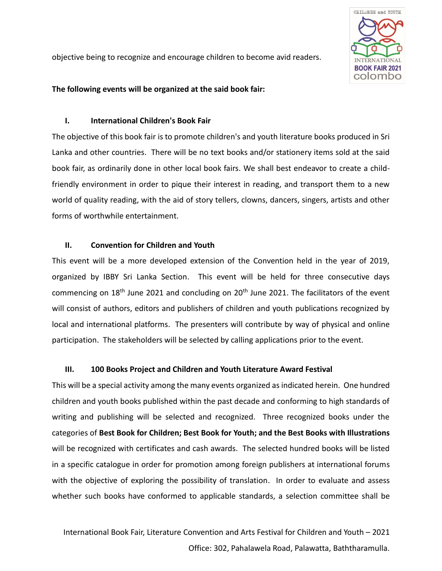

objective being to recognize and encourage children to become avid readers.

#### **The following events will be organized at the said book fair:**

#### **I. International Children's Book Fair**

The objective of this book fair is to promote children's and youth literature books produced in Sri Lanka and other countries. There will be no text books and/or stationery items sold at the said book fair, as ordinarily done in other local book fairs. We shall best endeavor to create a childfriendly environment in order to pique their interest in reading, and transport them to a new world of quality reading, with the aid of story tellers, clowns, dancers, singers, artists and other forms of worthwhile entertainment.

#### **II. Convention for Children and Youth**

This event will be a more developed extension of the Convention held in the year of 2019, organized by IBBY Sri Lanka Section. This event will be held for three consecutive days commencing on 18<sup>th</sup> June 2021 and concluding on 20<sup>th</sup> June 2021. The facilitators of the event will consist of authors, editors and publishers of children and youth publications recognized by local and international platforms. The presenters will contribute by way of physical and online participation. The stakeholders will be selected by calling applications prior to the event.

# **III. 100 Books Project and Children and Youth Literature Award Festival**

This will be a special activity among the many events organized as indicated herein. One hundred children and youth books published within the past decade and conforming to high standards of writing and publishing will be selected and recognized. Three recognized books under the categories of **Best Book for Children; Best Book for Youth; and the Best Books with Illustrations**  will be recognized with certificates and cash awards. The selected hundred books will be listed in a specific catalogue in order for promotion among foreign publishers at international forums with the objective of exploring the possibility of translation. In order to evaluate and assess whether such books have conformed to applicable standards, a selection committee shall be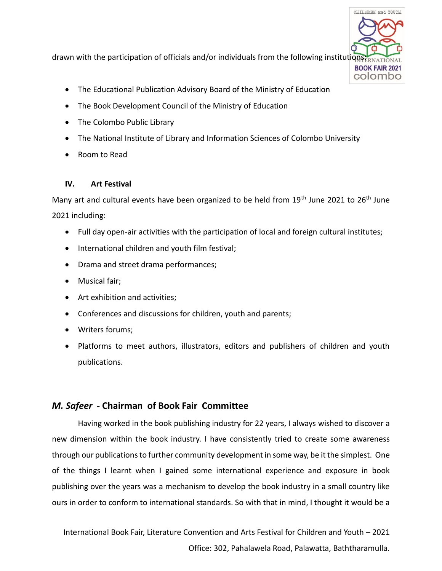

drawn with the participation of officials and/or individuals from the following institutions:

- The Educational Publication Advisory Board of the Ministry of Education
- The Book Development Council of the Ministry of Education
- The Colombo Public Library
- The National Institute of Library and Information Sciences of Colombo University
- Room to Read

# **IV. Art Festival**

Many art and cultural events have been organized to be held from  $19<sup>th</sup>$  June 2021 to 26<sup>th</sup> June 2021 including:

- Full day open-air activities with the participation of local and foreign cultural institutes;
- International children and youth film festival;
- Drama and street drama performances;
- Musical fair;
- Art exhibition and activities;
- Conferences and discussions for children, youth and parents;
- Writers forums;
- Platforms to meet authors, illustrators, editors and publishers of children and youth publications.

# *M. Safeer* **- Chairman of Book Fair Committee**

Having worked in the book publishing industry for 22 years, I always wished to discover a new dimension within the book industry. I have consistently tried to create some awareness through our publications to further community development in some way, be it the simplest. One of the things I learnt when I gained some international experience and exposure in book publishing over the years was a mechanism to develop the book industry in a small country like ours in order to conform to international standards. So with that in mind, I thought it would be a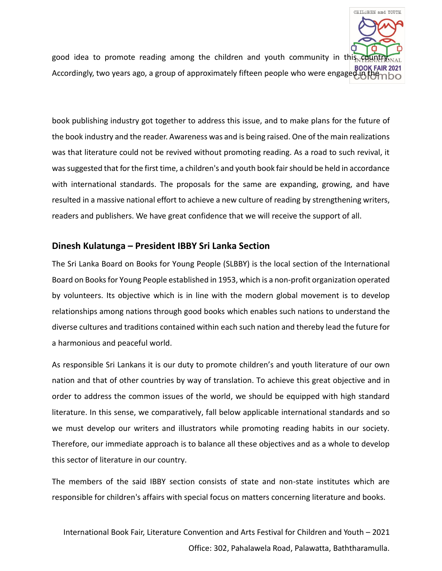

good idea to promote reading among the children and youth community in this count BOOK FAIR 2021<br>Accordingly, two years ago, a group of approximately fifteen people who were engaged in the

book publishing industry got together to address this issue, and to make plans for the future of the book industry and the reader. Awareness was and is being raised. One of the main realizations was that literature could not be revived without promoting reading. As a road to such revival, it was suggested that for the first time, a children's and youth book fair should be held in accordance with international standards. The proposals for the same are expanding, growing, and have resulted in a massive national effort to achieve a new culture of reading by strengthening writers, readers and publishers. We have great confidence that we will receive the support of all.

# **Dinesh Kulatunga – President IBBY Sri Lanka Section**

The Sri Lanka Board on Books for Young People (SLBBY) is the local section of the International Board on Books for Young People established in 1953, which is a non-profit organization operated by volunteers. Its objective which is in line with the modern global movement is to develop relationships among nations through good books which enables such nations to understand the diverse cultures and traditions contained within each such nation and thereby lead the future for a harmonious and peaceful world.

As responsible Sri Lankans it is our duty to promote children's and youth literature of our own nation and that of other countries by way of translation. To achieve this great objective and in order to address the common issues of the world, we should be equipped with high standard literature. In this sense, we comparatively, fall below applicable international standards and so we must develop our writers and illustrators while promoting reading habits in our society. Therefore, our immediate approach is to balance all these objectives and as a whole to develop this sector of literature in our country.

The members of the said IBBY section consists of state and non-state institutes which are responsible for children's affairs with special focus on matters concerning literature and books.